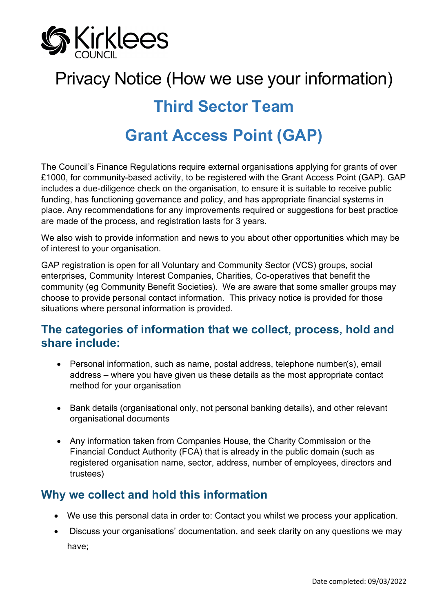

# Privacy Notice (How we use your information)

## **Third Sector Team**

## **Grant Access Point (GAP)**

The Council's Finance Regulations require external organisations applying for grants of over £1000, for community-based activity, to be registered with the Grant Access Point (GAP). GAP includes a due-diligence check on the organisation, to ensure it is suitable to receive public funding, has functioning governance and policy, and has appropriate financial systems in place. Any recommendations for any improvements required or suggestions for best practice are made of the process, and registration lasts for 3 years.

We also wish to provide information and news to you about other opportunities which may be of interest to your organisation.

GAP registration is open for all Voluntary and Community Sector (VCS) groups, social enterprises, Community Interest Companies, Charities, Co-operatives that benefit the community (eg Community Benefit Societies). We are aware that some smaller groups may choose to provide personal contact information. This privacy notice is provided for those situations where personal information is provided.

#### **The categories of information that we collect, process, hold and share include:**

- Personal information, such as name, postal address, telephone number(s), email address – where you have given us these details as the most appropriate contact method for your organisation
- Bank details (organisational only, not personal banking details), and other relevant organisational documents
- Any information taken from Companies House, the Charity Commission or the Financial Conduct Authority (FCA) that is already in the public domain (such as registered organisation name, sector, address, number of employees, directors and trustees)

### **Why we collect and hold this information**

- We use this personal data in order to: Contact you whilst we process your application.
- Discuss your organisations' documentation, and seek clarity on any questions we may have;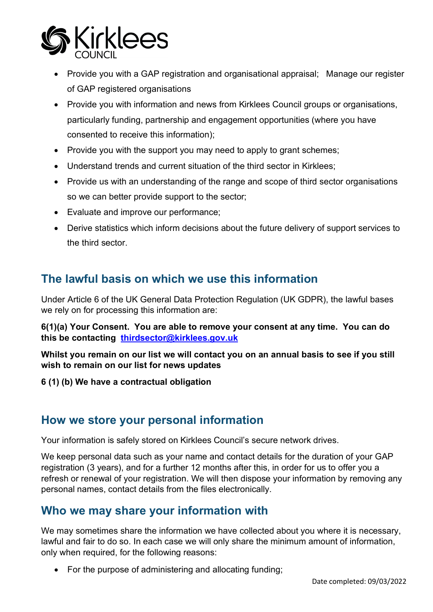

- Provide you with a GAP registration and organisational appraisal; Manage our register of GAP registered organisations
- Provide you with information and news from Kirklees Council groups or organisations, particularly funding, partnership and engagement opportunities (where you have consented to receive this information);
- Provide you with the support you may need to apply to grant schemes;
- Understand trends and current situation of the third sector in Kirklees;
- Provide us with an understanding of the range and scope of third sector organisations so we can better provide support to the sector;
- Evaluate and improve our performance;
- Derive statistics which inform decisions about the future delivery of support services to the third sector.

#### **The lawful basis on which we use this information**

Under Article 6 of the UK General Data Protection Regulation (UK GDPR), the lawful bases we rely on for processing this information are:

**6(1)(a) Your Consent. You are able to remove your consent at any time. You can do this be contacting [thirdsector@kirklees.gov.uk](mailto:thirdsector@kirklees.gov.uk)**

**Whilst you remain on our list we will contact you on an annual basis to see if you still wish to remain on our list for news updates**

**6 (1) (b) We have a contractual obligation**

#### **How we store your personal information**

Your information is safely stored on Kirklees Council's secure network drives.

We keep personal data such as your name and contact details for the duration of your GAP registration (3 years), and for a further 12 months after this, in order for us to offer you a refresh or renewal of your registration. We will then dispose your information by removing any personal names, contact details from the files electronically.

#### **Who we may share your information with**

We may sometimes share the information we have collected about you where it is necessary, lawful and fair to do so. In each case we will only share the minimum amount of information, only when required, for the following reasons:

• For the purpose of administering and allocating funding;